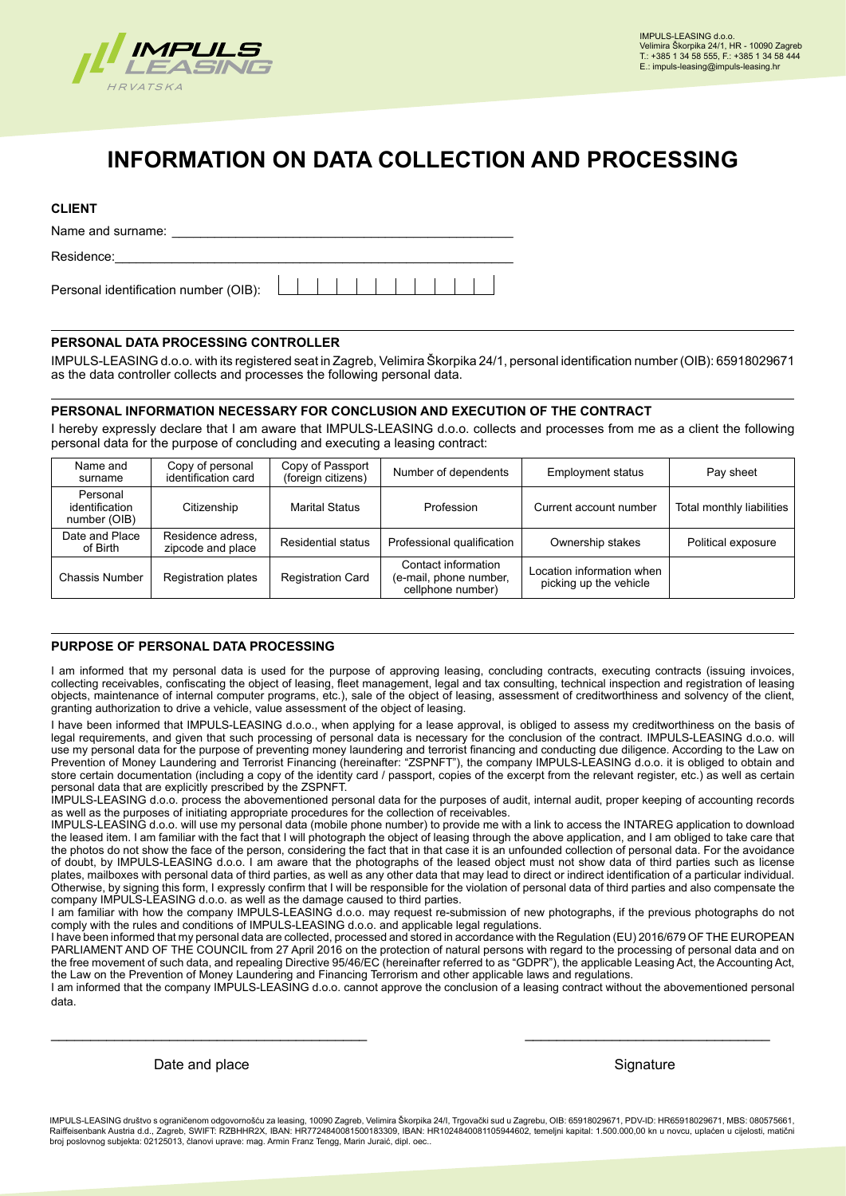

# **INFORMATION ON DATA COLLECTION AND PROCESSING**

## **CLIENT**

Name and surname: Residence:  $1 1 1 1 1 1 1 1 1 1$ Personal identification number (OIB):

## **PERSONAL DATA PROCESSING CONTROLLER**

IMPULS-LEASING d.o.o. with its registered seat in Zagreb, Velimira Škorpika 24/1, personal identification number (OIB): 65918029671 as the data controller collects and processes the following personal data.

## **PERSONAL INFORMATION NECESSARY FOR CONCLUSION AND EXECUTION OF THE CONTRACT**

I hereby expressly declare that I am aware that IMPULS-LEASING d.o.o. collects and processes from me as a client the following personal data for the purpose of concluding and executing a leasing contract:

| Name and<br>surname                        | Copy of personal<br>identification card | Copy of Passport<br>(foreign citizens) | Number of dependents                                               | <b>Employment status</b>                            | Pay sheet                 |
|--------------------------------------------|-----------------------------------------|----------------------------------------|--------------------------------------------------------------------|-----------------------------------------------------|---------------------------|
| Personal<br>identification<br>number (OIB) | Citizenship                             | <b>Marital Status</b>                  | Profession                                                         | Current account number                              | Total monthly liabilities |
| Date and Place<br>of Birth                 | Residence adress.<br>zipcode and place  | Residential status                     | Professional qualification                                         | Ownership stakes                                    | Political exposure        |
| <b>Chassis Number</b>                      | <b>Registration plates</b>              | <b>Registration Card</b>               | Contact information<br>(e-mail, phone number,<br>cellphone number) | Location information when<br>picking up the vehicle |                           |

## **PURPOSE OF PERSONAL DATA PROCESSING**

I am informed that my personal data is used for the purpose of approving leasing, concluding contracts, executing contracts (issuing invoices, collecting receivables, confiscating the object of leasing, fleet management, legal and tax consulting, technical inspection and registration of leasing objects, maintenance of internal computer programs, etc.), sale of the object of leasing, assessment of creditworthiness and solvency of the client, granting authorization to drive a vehicle, value assessment of the object of leasing.

I have been informed that IMPULS-LEASING d.o.o., when applying for a lease approval, is obliged to assess my creditworthiness on the basis of legal requirements, and given that such processing of personal data is necessary for the conclusion of the contract. IMPULS-LEASING d.o.o. will use my personal data for the purpose of preventing money laundering and terrorist financing and conducting due diligence. According to the Law on Prevention of Money Laundering and Terrorist Financing (hereinafter: "ZSPNFT"), the company IMPULS-LEASING d.o.o. it is obliged to obtain and store certain documentation (including a copy of the identity card / passport, copies of the excerpt from the relevant register, etc.) as well as certain personal data that are explicitly prescribed by the ZSPNFT.

IMPULS-LEASING d.o.o. process the abovementioned personal data for the purposes of audit, internal audit, proper keeping of accounting records as well as the purposes of initiating appropriate procedures for the collection of receivables.

IMPULS-LEASING d.o.o. will use my personal data (mobile phone number) to provide me with a link to access the INTAREG application to download the leased item. I am familiar with the fact that I will photograph the object of leasing through the above application, and I am obliged to take care that the photos do not show the face of the person, considering the fact that in that case it is an unfounded collection of personal data. For the avoidance of doubt, by IMPULS-LEASING d.o.o. I am aware that the photographs of the leased object must not show data of third parties such as license plates, mailboxes with personal data of third parties, as well as any other data that may lead to direct or indirect identification of a particular individual. Otherwise, by signing this form, I expressly confirm that I will be responsible for the violation of personal data of third parties and also compensate the company IMPULS-LEASING d.o.o. as well as the damage caused to third parties.

I am familiar with how the company IMPULS-LEASING d.o.o. may request re-submission of new photographs, if the previous photographs do not comply with the rules and conditions of IMPULS-LEASING d.o.o. and applicable legal regulations.

I have been informed that my personal data are collected, processed and stored in accordance with the Regulation (EU) 2016/679 OF THE EUROPEAN PARLIAMENT AND OF THE COUNCIL from 27 April 2016 on the protection of natural persons with regard to the processing of personal data and on the free movement of such data, and repealing Directive 95/46/EC (hereinafter referred to as "GDPR"), the applicable Leasing Act, the Accounting Act, the Law on the Prevention of Money Laundering and Financing Terrorism and other applicable laws and regulations.

I am informed that the company IMPULS-LEASING d.o.o. cannot approve the conclusion of a leasing contract without the abovementioned personal data.

\_\_\_\_\_\_\_\_\_\_\_\_\_\_\_\_\_\_\_\_\_\_\_\_\_\_\_\_\_\_\_\_\_\_\_\_\_\_\_\_ \_\_\_\_\_\_\_\_\_\_\_\_\_\_\_\_\_\_\_\_\_\_\_\_\_\_\_\_\_\_\_

Date and place Signature Signature Signature Signature Signature

IMPULS-LEASING društvo s ograničenom odgovornošću za leasing, 10090 Zagreb, Velimira Škorpika 24/I, Trgovački sud u Zagrebu, OIB: 65918029671, PDV-ID: HR65918029671, MBS: 080575661, matični<br>Raiffeisenbank Austria d.d., Zag .<br>greb, SWIFT: RZBHHR2X, IBAN: HR7724840081500183309, IBAN: HR1024840081105944602, temeljni kapital: 1.500.000,00 kn u novcu, uplaćen u cijelosti, matični broj poslovnog subjekta: 02125013, članovi uprave: mag. Armin Franz Tengg, Marin Juraić, dipl. oec..